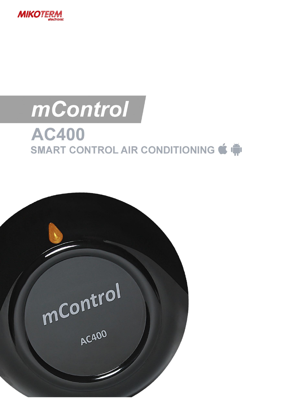

# mControl **AC400** SMART CONTROL AIR CONDITIONING  $\bigcirc$

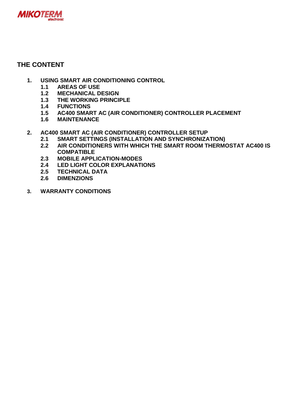

## **THE CONTENT**

- **1. USING SMART AIR CONDITIONING CONTROL** 
	- **1.1 AREAS OF USE**
	- **1.2 MECHANICAL DESIGN**
	- **1.3 THE WORKING PRINCIPLE**
	- **1.4 FUNCTIONS**
	- **1.5 AC400 SMART AC (AIR CONDITIONER) CONTROLLER PLACEMENT**
	- **1.6 MAINTENANCE**
- **2. AC400 SMART AC (AIR CONDITIONER) CONTROLLER SETUP** 
	- **2.1 SMART SETTINGS (INSTALLATION AND SYNCHRONIZATION)**
	- **2.2 AIR CONDITIONERS WITH WHICH THE SMART ROOM THERMOSTAT AC400 IS COMPATIBLE**
	- **2.3 MOBILE APPLICATION-MODES**
	- **2.4 LED LIGHT COLOR EXPLANATIONS**
	- **2.5 TECHNICAL DATA**
	- **2.6 DIMENZIONS**
- **3. WARRANTY CONDITIONS**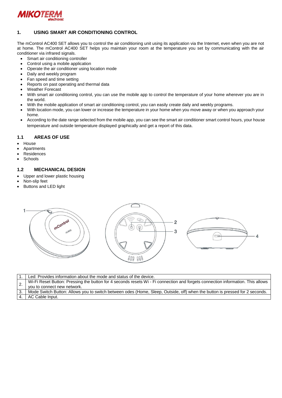

#### **1. USING SMART AIR CONDITIONING CONTROL**

The mControl AC400 SET allows you to control the air conditioning unit using its application via the Internet, even when you are not at home. The mControl AC400 SET helps you maintain your room at the temperature you set by communicating with the air conditioner via infrared signals.

- Smart air conditioning controller
- Control using a mobile application
- Operate the air conditioner using location mode
- Daily and weekly program
- Fan speed and time setting
- Reports on past operating and thermal data
- Weather Forecast
- With smart air conditioning control, you can use the mobile app to control the temperature of your home wherever you are in the world.
- With the mobile application of smart air conditioning control, you can easily create daily and weekly programs.
- With location mode, you can lower or increase the temperature in your home when you move away or when you approach your home.
- According to the date range selected from the mobile app, you can see the smart air conditioner smart control hours, your house temperature and outside temperature displayed graphically and get a report of this data.

#### **1.1 AREAS OF USE**

- House
- Apartments
- Residences
- **Schools**

#### **1.2 MECHANICAL DESIGN**

- Upper and lower plastic housing
- Non-slip feet
- Buttons and LED light



|     | Led: Provides information about the mode and status of the device.                                                                                             |
|-----|----------------------------------------------------------------------------------------------------------------------------------------------------------------|
| ۷.  | Wi-Fi Reset Button: Pressing the button for 4 seconds resets Wi - Fi connection and forgets connection information. This allows<br>vou to connect new network. |
| 3.1 | Mode Switch Button: Allows you to switch between odes (Home, Sleep, Outside, off) when the button is pressed for 2 seconds.                                    |
|     | 4.   AC Cable Input.                                                                                                                                           |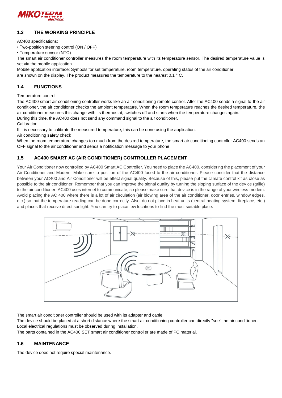

#### **1.3 THE WORKING PRINCIPLE**

AC400 specifications:

• Two-position steering control (ON / OFF)

• Temperature sensor (NTC)

The smart air conditioner controller measures the room temperature with its temperature sensor. The desired temperature value is set via the mobile application.

Mobile application interface; Symbols for set temperature, room temperature, operating status of the air conditioner are shown on the display. The product measures the temperature to the nearest 0.1 ° C.

#### **1.4 FUNCTIONS**

#### Temperature control

The AC400 smart air conditioning controller works like an air conditioning remote control. After the AC400 sends a signal to the air conditioner, the air conditioner checks the ambient temperature. When the room temperature reaches the desired temperature, the air conditioner measures this change with its thermostat, switches off and starts when the temperature changes again.

During this time, the AC400 does not send any command signal to the air conditioner.

**Calibration** 

If it is necessary to calibrate the measured temperature, this can be done using the application.

Air conditioning safety check

When the room temperature changes too much from the desired temperature, the smart air conditioning controller AC400 sends an OFF signal to the air conditioner and sends a notification message to your phone.

#### **1.5 AC400 SMART AC (AIR CONDITIONER) CONTROLLER PLACEMENT**

Your Air Conditioner now controlled by AC400 Smart AC Controller. You need to place the AC400, considering the placement of your Air Conditioner and Modem. Make sure to position of the AC400 faced to the air conditioner. Please consider that the distance between your AC400 and Air Conditioner will be effect signal quality. Because of this, please put the climate control kit as close as possible to the air conditioner. Remember that you can improve the signal quality by turning the sloping surface of the device (grille) to the air conditioner. AC400 uses internet to communicate, so please make sure that device is in the range of your wireless modem. Avoid placing the AC 400 where there is a lot of air circulation (air blowing area of the air conditioner, door entries, window edges, etc.) so that the temperature reading can be done correctly. Also, do not place in heat units (central heating system, fireplace, etc.) and places that receive direct sunlight. You can try to place few locations to find the most suitable place.



The smart air conditioner controller should be used with its adapter and cable.

The device should be placed at a short distance where the smart air conditioning controller can directly "see" the air conditioner. Local electrical regulations must be observed during installation.

The parts contained in the AC400 SET smart air conditioner controller are made of PC material.

#### **1.6 MAINTENANCE**

The device does not require special maintenance.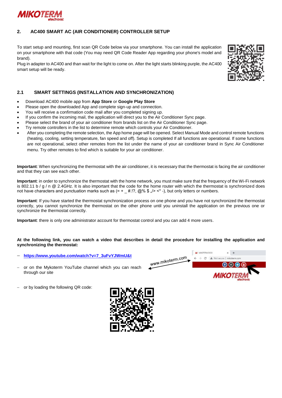

#### **2. AC400 SMART AC (AIR CONDITIONER) CONTROLLER SETUP**

To start setup and mounting, first scan QR Code below via your smartphone. You can install the application on your smartphone with that code (You may need QR Code Reader App regarding your phone's model and brand).

Plug in adapter to AC400 and than wait for the light to come on. After the light starts blinking purple, the AC400 smart setup will be ready.



#### **2.1 SMART SETTINGS (INSTALLATION AND SYNCHRONIZATION)**

- Download AC400 mobile app from **App Store** or **Google Play Store**
- Please open the downloaded App and complete sign-up and connection.
- You will receive a confirmation code mail after you completed signing up.
- If you confirm the incoming mail, the application will direct you to the Air Conditioner Sync page.
- Please select the brand of your air conditioner from brands list on the Air Conditioner Sync page.
- Try remote controllers in the list to determine remote which controls your Air Conditioner.
- After you completing the remote selection, the App home page will be opened. Select Manual Mode and control remote functions (heating, cooling, setting temperature, fan speed and off). Setup is completed If all functions are operational. If some functions are not operational, select other remotes from the list under the name of your air conditioner brand in Sync Air Conditioner menu. Try other remotes to find which is suitable for your air conditioner.

**Important**: When synchronizing the thermostat with the air conditioner, it is necessary that the thermostat is facing the air conditioner and that they can see each other.

**Important**: in order to synchronize the thermostat with the home network, you must make sure that the frequency of the Wi-Fi network is 802.11 b / g / n @ 2.4GHz. It is also important that the code for the home router with which the thermostat is synchronized does not have characters and punctuation marks such as  $(= + 4.17, ②\%$  \$  $\sqrt{>}$  <\* -), but only letters or numbers.

**Important**: If you have started the thermostat synchronization process on one phone and you have not synchronized the thermostat correctly, you cannot synchronize the thermostat on the other phone until you uninstall the application on the previous one or synchronize the thermostat correctly.

**Important**: there is only one administrator account for thermostat control and you can add 4 more users.

#### **At the following link, you can watch a video that describes in detail the procedure for installing the application and synchronizing the thermostat:**

- **[https://www.youtube.com/watch?v=7\\_3uFvYJWmU&t](https://www.youtube.com/watch?v=7_3uFvYJWmU&t)**
- or on the Mykoterm YouTube channel which you can reach through our site



or by loading the following QR code:

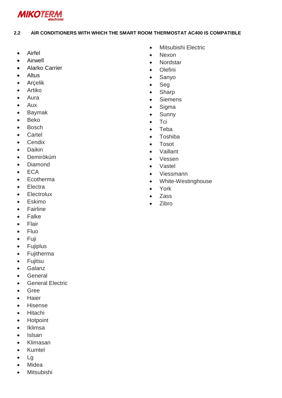

#### AIR CONDITIONERS WITH WHICH THE SMART ROOM THERMOSTAT AC400 IS COMPATIBLE  $2.2$

- Airfel  $\bullet$
- Airwell  $\bullet$
- **Alarko Carrier**  $\bullet$
- Altus  $\bullet$
- Arcelik  $\bullet$
- Artiko  $\bullet$
- Aura  $\blacksquare$
- Aux  $\bullet$
- **Baymak**  $\bullet$
- **Beko**  $\bullet$
- **Bosch**  $\bullet$
- Cartel  $\bullet$
- Cendix  $\bullet$
- Daikin  $\bullet$
- Demiröküm  $\bullet$
- **Diamond**  $\bullet$
- **ECA**  $\bullet$
- Ecotherma  $\bullet$
- Electra  $\blacksquare$
- Electrolux  $\bullet$
- Eskimo  $\blacksquare$
- Fairline  $\bullet$
- Falke
- Flair  $\bullet$
- Fluo  $\bullet$
- Fuji  $\bullet$
- Fujiplus  $\bullet$
- Fujitherma  $\bullet$
- Fujitsu  $\bullet$
- Galanz  $\bullet$
- General  $\bullet$
- **General Electric**  $\bullet$
- Gree  $\bullet$
- Haier  $\bullet$
- Hisense  $\bullet$
- Hitachi  $\bullet$
- Hotpoint  $\blacksquare$
- Iklimsa  $\bullet$
- Islsan  $\blacksquare$
- Klimasan  $\blacksquare$
- Kumtel  $\bullet$
- $Lg$  $\bullet$
- Midea  $\bullet$
- Mitsubishi  $\bullet$
- Mitsubishi Electric  $\bullet$
- Nexon  $\bullet$
- Nordstar  $\bullet$
- Olefini  $\bullet$
- Sanyo  $\bullet$
- Seg  $\bullet$
- Sharp  $\bullet$
- Siemens  $\bullet$
- Sigma  $\bullet$
- Sunny  $\bullet$
- Tci  $\bullet$
- Teba  $\bullet$
- Toshiba  $\bullet$
- Tosot  $\bullet$
- Vaillant  $\bullet$
- Vessen  $\bullet$
- $\bullet$ Vastel
- Viessmann  $\bullet$
- White-Westinghouse  $\bullet$
- York  $\bullet$
- Zass  $\bullet$
- Zibro  $\bullet$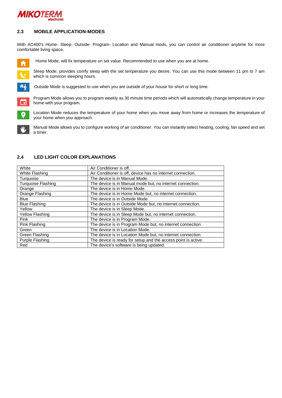

#### **2.3 MOBILE APPLICATION-MODES**

With AC400's Home- Sleep- Outside- Program- Location and Manual mods, you can control air conditioner anytime for more comfortable living space.



Home Mode, will fix temperature on set value. Recommended to use when you are at home.

Sleep Mode, provides comfy sleep with the set temperature you desire. You can use this mode between 11 pm to 7 am which is common sleeping hours.



Program Mode allows you to program weekly as 30 minute time periods which will automatically change temperature in your m home with your program.



 $\bullet$ 

Location Mode reduces the temperature of your home when you move away from home or increases the temperature of your home when you approach.

Manual Mode allows you to configure working of air conditioner. You can instantly select heating, cooling, fan speed and set a timer.

#### **2.4 LED LIGHT COLOR EXPLANATIONS**

| White                     | Air Conditioner is off.                                       |
|---------------------------|---------------------------------------------------------------|
| White Flashing            | Air Conditioner is off, device has no internet connection.    |
| Turquoise                 | The device is in Manual Mode.                                 |
| <b>Turquoise Flashing</b> | The device is in Manual mode but, no internet connection.     |
| Orange                    | The device is in Home Mode.                                   |
| Orange Flashing           | The device is in Home Mode but, no internet connection.       |
| <b>Blue</b>               | The device is in Outside Mode.                                |
| <b>Blue Flashing</b>      | The device is in Outside Mode but, no internet connection.    |
| Yellow                    | The device is in Sleep Mode.                                  |
| <b>Yellow Flashing</b>    | The device is in Sleep Mode but, no internet connection.      |
| Pink                      | The device is in Program Mode.                                |
| Pink Flashing             | The device is in Program Mode but, no internet connection.    |
| Green                     | The device is in Location Mode.                               |
| Green Flashing            | The device is in Location Mode but, no internet connection.   |
| Purple Flashing           | The device is ready for setup and the access point is active. |
| Red                       | The device's software is being updated.                       |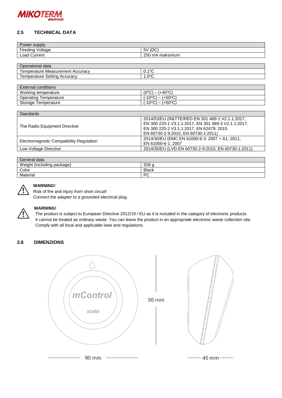

#### **2.5 TECHNICAL DATA**

| Power supply                                   |                                        |  |
|------------------------------------------------|----------------------------------------|--|
| -<br>.<br>Voltage<br>Feeding                   | (DC)<br>5V                             |  |
| $\text{\textend}$ $\text{\textend}$<br>Current | 250<br>$\sim$ $\sim$<br>maksimum<br>ПΗ |  |
|                                                |                                        |  |

| Operational data                                      |                             |  |
|-------------------------------------------------------|-----------------------------|--|
| l emperature Measurement Accuracv                     | 10 <sup>o</sup><br>ـا<br>v. |  |
| $\mathsf{Setting} \prime$<br>l emperature<br>Accuracy | റാറ<br>.v<br>╰              |  |
|                                                       |                             |  |

| <b>External conditions</b> |                                                 |  |
|----------------------------|-------------------------------------------------|--|
| Working temperature        | $(0^{\circ}C)$<br>(+45°C)                       |  |
| Operating Temperature      | $(-10^{\circ}C)$<br>$(+50°C)$                   |  |
| Storage Temperature        | (+50°C)<br>(-10°C).<br>$\overline{\phantom{0}}$ |  |

| <b>Standards</b>                         |                                                     |  |
|------------------------------------------|-----------------------------------------------------|--|
|                                          | 2014/53/EU (R&TTE/RED EN 301 489-1 V2.1.1:2017,     |  |
|                                          | EN 300 220-1 V3.1.1:2017, EN 301 489-3 V2.1.1:2017, |  |
| The Radio Equipment Directive            | EN 300 220-2 V3.1.1:2017, EN 62479: 2010,           |  |
|                                          | EN 60730-2-9:2010, EN 60730-1:2011)                 |  |
|                                          | 2014/30/EU (EMC EN 61000-6-3: 2007 + A1: 2011,      |  |
| Electromagnetic Compatibility Regulation | EN 61000-6-1: 2007                                  |  |
| Low Voltage Directive                    | 2014/35/EU (LVD EN 60730-2-9:2010, EN 60730-1:2011) |  |

| General data                    |              |  |
|---------------------------------|--------------|--|
| Weight (including)<br>⊧packaɑe) | າລວ<br>عدب   |  |
| Color                           | <b>Black</b> |  |
| Material                        | <b>PC</b>    |  |



### **WARNING!**

Risk of fire and injury from short circuit!

Connect the adapter to a grounded electrical plug.



#### **WARNING!**

The product is subject to European Directive 2012/19 / EU as it is included in the category of electronic products. It cannot be treated as ordinary waste. You can leave the product in an appropriate electronic waste collection site. Comply with all local and applicable laws and regulations.

### **2.6 DIMENZIONS**